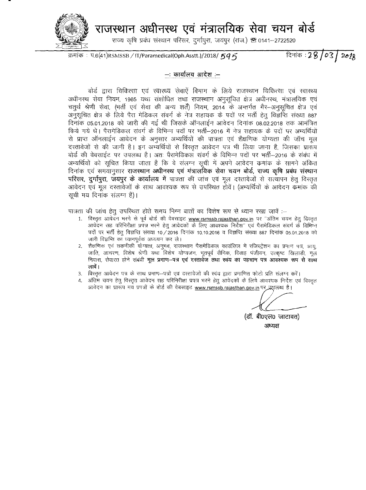राजस्थान अधीनस्थ एवं मंत्रालयिक सेवा चयन बोर्ड



राज्य कृषि प्रबंध संस्थान परिसर, दर्गापुरा, जयपुर (राज.) <sup>क</sup> 0141-2722520

<sup>~</sup> : 1l.6(41)RSMSSB/ IT/Paramedical(Oph.Asstt.)/2018/ *5q 5*

दिनांक : 28 / 03 / 2018

## —: कार्यालय आदेश —

बोर्ड द्वारा चिकित्सा एवं स्वास्थ्य सेवाएँ विभाग के लिये राजस्थान चिकित्सा एवं स्वास्थ्य अधीनस्थ सेवा नियम, 1965 यथा संशोधित तथा राजस्थान अनसचित क्षेत्र अधीनस्थ, मंत्रालयिक एवं चतुर्थ श्रेणी सेवा, (भर्ती एवं सेवा की अन्य शर्तें) नियम, 2014 के अन्तर्गत गैर–अनुसुचित क्षेत्र एवं अनुसचित क्षेत्र के लिये पैरा मेडिकल संवर्ग के नेत्र सहायक के पदों पर भर्ती हेतु विज्ञप्ति संख्या 887 दिनांक 05.01.2018 को जारी की गई थी जिसके ऑनलाईन आवेदन दिनांक 08.02.2018 तक आमंत्रित किये गये थे। पैरामेडिकल संवर्ग के विभिन्न पदों पर भर्ती—2016 में नेत्र सहायक के पदों पर अभ्यर्थियों से प्राप्त ऑनलाईन आवेदन के अनुसार अभ्यर्थियों की पात्रता एवं शैक्षणिक योग्यता की जॉच मुल दरतावेजों से की जानी है। इन अभ्यर्थियों से विस्तत आवेदन पत्र भी लिया जाना है. जिसका प्रारूप बोर्ड की वेबसाईट पर उपलब्ध है। अतः पैरामेडिकल संवर्ग के विभिन्न पदों पर भर्ती-2016 के संबंध में अभ्यर्थियों को सूचित किया जाता है कि वे संलग्न सूची में अपने आवेदन कमांक के सामने अंकित <u>दिनांक एवं समयानसार राजस्थान अधीनस्थ एवं मंत्रालंयिक सेवा चयन बोर्ड, राज्य कृषि प्रबंध संस्थान</u> **परिसर, दुर्गापुरा, जयपुर के कार्यालय में** पात्रता की जांच एवं मूल दस्तावेजों से सत्यापन हेतू विस्तृत आवेदन एवं मूल दस्तावेजों के साथ आवश्यक रूप से उपस्थित होवें। (अभ्यर्थियों के आवेदन कमांक की सची मय दिनांक संलग्न है)।

पात्रता की जांच हेतु उपरिथत होते समय निम्न बातों का विशेष रूप से ध्यान रखा जावें :-

- 1. विस्तृत आवेदन भरने से पूर्व बोर्ड की वेबसाइट [www.rsmssb.rajasthan.gov.in](http://www.rsmssb.rajasthan.gov.in) पर "अंतिम चयन हेतु विस्तृत आवेदन सह परिनिरीक्षा प्रपत्र भरने हेतु आवेदकों के लिए आवश्यक निर्देश'' एवं पैरामेडिकल संवर्ग के विभिन्न पदों पर भर्ती हेत् विज्ञप्ति संख्या 10/2016 दिनांक 10.10.2016 व विज्ञप्ति संख्या 887 दिनांक 05.01.2018 को जारी विज्ञप्ति का ध्यानपूर्वक अध्ययन कर ले।
- 2. शैक्षणिक एवं तकनीकी योग्यता, अनुभव, राजस्थान पैरामेडिकल काउंसिल में रजिस्ट्रेशन का प्रमाण पत्र, आयू, जाति, आचरण, विशेष श्रेणी यथा विशेष योग्यजन, भूतपूर्व सैनिक, विवाह पंजीयन, उत्कृष्ट खिलाडी, मूल निवास, सेवारत होने संबंधी **मूल प्रमाण—पत्र एवं दस्तावेज तथा स्वंय का पहचान पत्र आवश्यक रूप से साथ** लावें ।
- 3. विस्तृत आवेदन पत्र के साथ प्रमाण--पत्रों एवं दस्तावेजों की स्वंय द्वारा प्रमाणित फोटो प्रति संलग्न करें।
- 4. अंतिम चयन हेतु विस्तृत आवेदन सह परिनिरीक्षा प्रपत्र भरने हेतु आवेदकों के लिये आवश्यक निर्देश एवं विस्तृत आवेदन का प्रारूप मय प्रपत्रों के बोर्ड की वेबसाइट [www.rsmssb.rajasthan.gov.in](http://www.rsmssb.rajasthan.gov.in) पर उपलब्ध है।

(डॉ. बी0एल0 जाटावत) **अध्यक्ष**